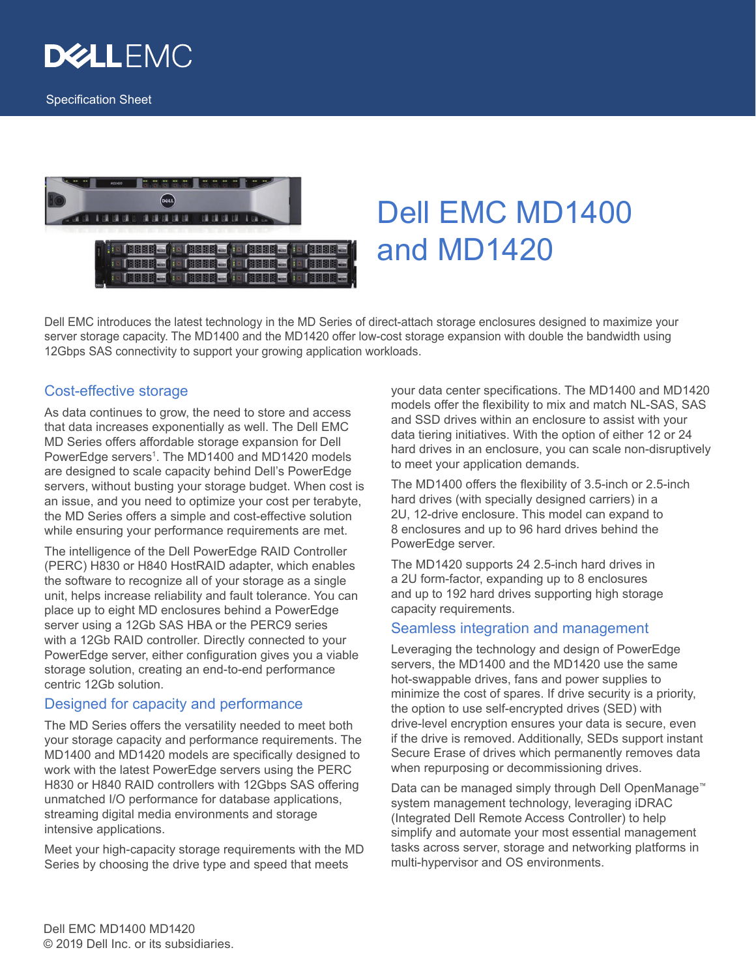



# Dell EMC MD1400 and MD1420

Dell EMC introduces the latest technology in the MD Series of direct-attach storage enclosures designed to maximize your server storage capacity. The MD1400 and the MD1420 offer low-cost storage expansion with double the bandwidth using 12Gbps SAS connectivity to support your growing application workloads.

# Cost-effective storage

As data continues to grow, the need to store and access that data increases exponentially as well. The Dell EMC MD Series offers affordable storage expansion for Dell PowerEdge servers<sup>1</sup>. The MD1400 and MD1420 models are designed to scale capacity behind Dell's PowerEdge servers, without busting your storage budget. When cost is an issue, and you need to optimize your cost per terabyte, the MD Series offers a simple and cost-effective solution while ensuring your performance requirements are met.

The intelligence of the Dell PowerEdge RAID Controller (PERC) H830 or H840 HostRAID adapter, which enables the software to recognize all of your storage as a single unit, helps increase reliability and fault tolerance. You can place up to eight MD enclosures behind a PowerEdge server using a 12Gb SAS HBA or the PERC9 series with a 12Gb RAID controller. Directly connected to your PowerEdge server, either configuration gives you a viable storage solution, creating an end-to-end performance centric 12Gb solution.

## Designed for capacity and performance

The MD Series offers the versatility needed to meet both your storage capacity and performance requirements. The MD1400 and MD1420 models are specifically designed to work with the latest PowerEdge servers using the PERC H830 or H840 RAID controllers with 12Gbps SAS offering unmatched I/O performance for database applications, streaming digital media environments and storage intensive applications.

Meet your high-capacity storage requirements with the MD Series by choosing the drive type and speed that meets

your data center specifications. The MD1400 and MD1420 models offer the flexibility to mix and match NL-SAS, SAS and SSD drives within an enclosure to assist with your data tiering initiatives. With the option of either 12 or 24 hard drives in an enclosure, you can scale non-disruptively to meet your application demands.

The MD1400 offers the flexibility of 3.5-inch or 2.5-inch hard drives (with specially designed carriers) in a 2U, 12-drive enclosure. This model can expand to 8 enclosures and up to 96 hard drives behind the PowerEdge server.

The MD1420 supports 24 2.5-inch hard drives in a 2U form-factor, expanding up to 8 enclosures and up to 192 hard drives supporting high storage capacity requirements.

#### Seamless integration and management

Leveraging the technology and design of PowerEdge servers, the MD1400 and the MD1420 use the same hot-swappable drives, fans and power supplies to minimize the cost of spares. If drive security is a priority, the option to use self-encrypted drives (SED) with drive-level encryption ensures your data is secure, even if the drive is removed. Additionally, SEDs support instant Secure Erase of drives which permanently removes data when repurposing or decommissioning drives.

Data can be managed simply through Dell OpenManage™ system management technology, leveraging iDRAC (Integrated Dell Remote Access Controller) to help simplify and automate your most essential management tasks across server, storage and networking platforms in multi-hypervisor and OS environments.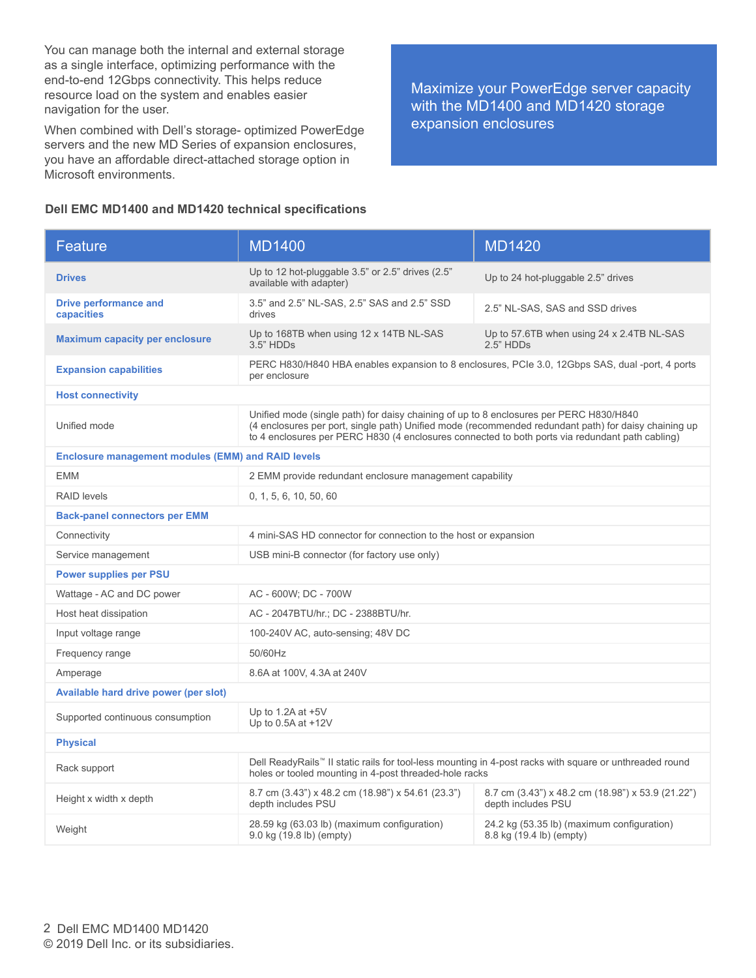You can manage both the internal and external storage as a single interface, optimizing performance with the end-to-end 12Gbps connectivity. This helps reduce resource load on the system and enables easier navigation for the user.

When combined with Dell's storage- optimized PowerEdge servers and the new MD Series of expansion enclosures, you have an affordable direct-attached storage option in Microsoft environments.

Maximize your PowerEdge server capacity with the MD1400 and MD1420 storage expansion enclosures

#### **Dell EMC MD1400 and MD1420 technical specifications**

| Feature                                                   | <b>MD1400</b>                                                                                                                                                                                                                                                                                     | <b>MD1420</b>                                                           |  |
|-----------------------------------------------------------|---------------------------------------------------------------------------------------------------------------------------------------------------------------------------------------------------------------------------------------------------------------------------------------------------|-------------------------------------------------------------------------|--|
| <b>Drives</b>                                             | Up to 12 hot-pluggable 3.5" or 2.5" drives (2.5"<br>available with adapter)                                                                                                                                                                                                                       | Up to 24 hot-pluggable 2.5" drives                                      |  |
| <b>Drive performance and</b><br>capacities                | 3.5" and 2.5" NL-SAS, 2.5" SAS and 2.5" SSD<br>drives                                                                                                                                                                                                                                             | 2.5" NL-SAS, SAS and SSD drives                                         |  |
| <b>Maximum capacity per enclosure</b>                     | Up to 168TB when using 12 x 14TB NL-SAS<br>3.5" HDDs                                                                                                                                                                                                                                              | Up to 57.6TB when using 24 x 2.4TB NL-SAS<br>2.5" HDDs                  |  |
| <b>Expansion capabilities</b>                             | PERC H830/H840 HBA enables expansion to 8 enclosures, PCIe 3.0, 12Gbps SAS, dual -port, 4 ports<br>per enclosure                                                                                                                                                                                  |                                                                         |  |
| <b>Host connectivity</b>                                  |                                                                                                                                                                                                                                                                                                   |                                                                         |  |
| Unified mode                                              | Unified mode (single path) for daisy chaining of up to 8 enclosures per PERC H830/H840<br>(4 enclosures per port, single path) Unified mode (recommended redundant path) for daisy chaining up<br>to 4 enclosures per PERC H830 (4 enclosures connected to both ports via redundant path cabling) |                                                                         |  |
| <b>Enclosure management modules (EMM) and RAID levels</b> |                                                                                                                                                                                                                                                                                                   |                                                                         |  |
| <b>EMM</b>                                                | 2 EMM provide redundant enclosure management capability                                                                                                                                                                                                                                           |                                                                         |  |
| <b>RAID levels</b>                                        | 0, 1, 5, 6, 10, 50, 60                                                                                                                                                                                                                                                                            |                                                                         |  |
| <b>Back-panel connectors per EMM</b>                      |                                                                                                                                                                                                                                                                                                   |                                                                         |  |
| Connectivity                                              | 4 mini-SAS HD connector for connection to the host or expansion                                                                                                                                                                                                                                   |                                                                         |  |
| Service management                                        | USB mini-B connector (for factory use only)                                                                                                                                                                                                                                                       |                                                                         |  |
| <b>Power supplies per PSU</b>                             |                                                                                                                                                                                                                                                                                                   |                                                                         |  |
| Wattage - AC and DC power                                 | AC - 600W; DC - 700W                                                                                                                                                                                                                                                                              |                                                                         |  |
| Host heat dissipation                                     | AC - 2047BTU/hr.; DC - 2388BTU/hr.                                                                                                                                                                                                                                                                |                                                                         |  |
| Input voltage range                                       | 100-240V AC, auto-sensing; 48V DC                                                                                                                                                                                                                                                                 |                                                                         |  |
| Frequency range                                           | 50/60Hz                                                                                                                                                                                                                                                                                           |                                                                         |  |
| Amperage                                                  | 8.6A at 100V, 4.3A at 240V                                                                                                                                                                                                                                                                        |                                                                         |  |
| Available hard drive power (per slot)                     |                                                                                                                                                                                                                                                                                                   |                                                                         |  |
| Supported continuous consumption                          | Up to 1.2A at $+5V$<br>Up to 0.5A at +12V                                                                                                                                                                                                                                                         |                                                                         |  |
| <b>Physical</b>                                           |                                                                                                                                                                                                                                                                                                   |                                                                         |  |
| Rack support                                              | Dell ReadyRails™ II static rails for tool-less mounting in 4-post racks with square or unthreaded round<br>holes or tooled mounting in 4-post threaded-hole racks                                                                                                                                 |                                                                         |  |
| Height x width x depth                                    | 8.7 cm (3.43") x 48.2 cm (18.98") x 54.61 (23.3")<br>depth includes PSU                                                                                                                                                                                                                           | 8.7 cm (3.43") x 48.2 cm (18.98") x 53.9 (21.22")<br>depth includes PSU |  |
| Weight                                                    | 28.59 kg (63.03 lb) (maximum configuration)<br>9.0 kg (19.8 lb) (empty)                                                                                                                                                                                                                           | 24.2 kg (53.35 lb) (maximum configuration)<br>8.8 kg (19.4 lb) (empty)  |  |